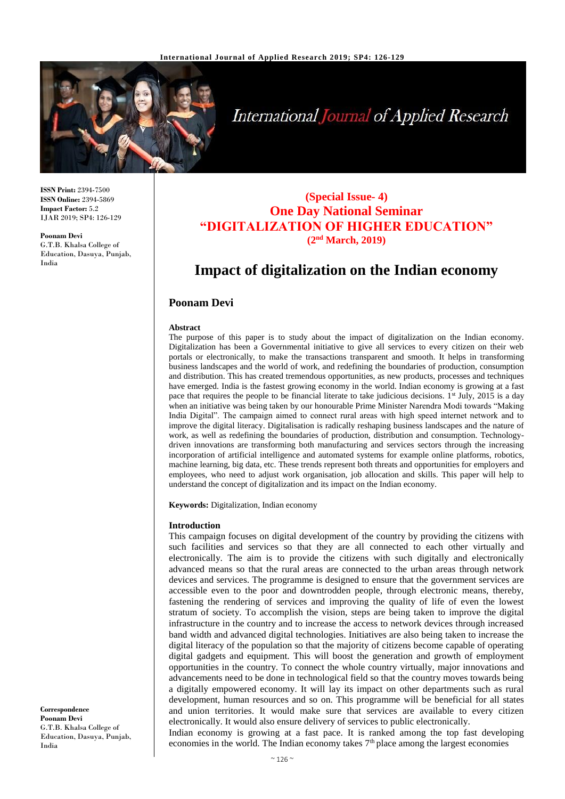

**International Journal of Applied Research** 

**ISSN Print:** 2394-7500 **ISSN Online:** 2394-5869 **Impact Factor:** 5.2 IJAR 2019; SP4: 126-129

**Poonam Devi** G.T.B. Khalsa College of Education, Dasuya, Punjab, India

# **(Special Issue- 4) One Day National Seminar "DIGITALIZATION OF HIGHER EDUCATION" (2nd March, 2019)**

# **Impact of digitalization on the Indian economy**

## **Poonam Devi**

#### **Abstract**

The purpose of this paper is to study about the impact of digitalization on the Indian economy. Digitalization has been a Governmental initiative to give all services to every citizen on their web portals or electronically, to make the transactions transparent and smooth. It helps in transforming business landscapes and the world of work, and redefining the boundaries of production, consumption and distribution. This has created tremendous opportunities, as new products, processes and techniques have emerged. India is the fastest growing economy in the world. Indian economy is growing at a fast pace that requires the people to be financial literate to take judicious decisions.  $1<sup>st</sup>$  July, 2015 is a day when an initiative was being taken by our honourable Prime Minister Narendra Modi towards "Making India Digital". The campaign aimed to connect rural areas with high speed internet network and to improve the digital literacy. Digitalisation is radically reshaping business landscapes and the nature of work, as well as redefining the boundaries of production, distribution and consumption. Technologydriven innovations are transforming both manufacturing and services sectors through the increasing incorporation of artificial intelligence and automated systems for example online platforms, robotics, machine learning, big data, etc. These trends represent both threats and opportunities for employers and employees, who need to adjust work organisation, job allocation and skills. This paper will help to understand the concept of digitalization and its impact on the Indian economy.

**Keywords:** Digitalization, Indian economy

#### **Introduction**

This campaign focuses on digital development of the country by providing the citizens with such facilities and services so that they are all connected to each other virtually and electronically. The aim is to provide the citizens with such digitally and electronically advanced means so that the rural areas are connected to the urban areas through network devices and services. The programme is designed to ensure that the government services are accessible even to the poor and downtrodden people, through electronic means, thereby, fastening the rendering of services and improving the quality of life of even the lowest stratum of society. To accomplish the vision, steps are being taken to improve the digital infrastructure in the country and to increase the access to network devices through increased band width and advanced digital technologies. Initiatives are also being taken to increase the digital literacy of the population so that the majority of citizens become capable of operating digital gadgets and equipment. This will boost the generation and growth of employment opportunities in the country. To connect the whole country virtually, major innovations and advancements need to be done in technological field so that the country moves towards being a digitally empowered economy. It will lay its impact on other departments such as rural development, human resources and so on. This programme will be beneficial for all states and union territories. It would make sure that services are available to every citizen electronically. It would also ensure delivery of services to public electronically. Indian economy is growing at a fast pace. It is ranked among the top fast developing

economies in the world. The Indian economy takes  $7<sup>th</sup>$  place among the largest economies

**Correspondence Poonam Devi** G.T.B. Khalsa College of Education, Dasuya, Punjab, India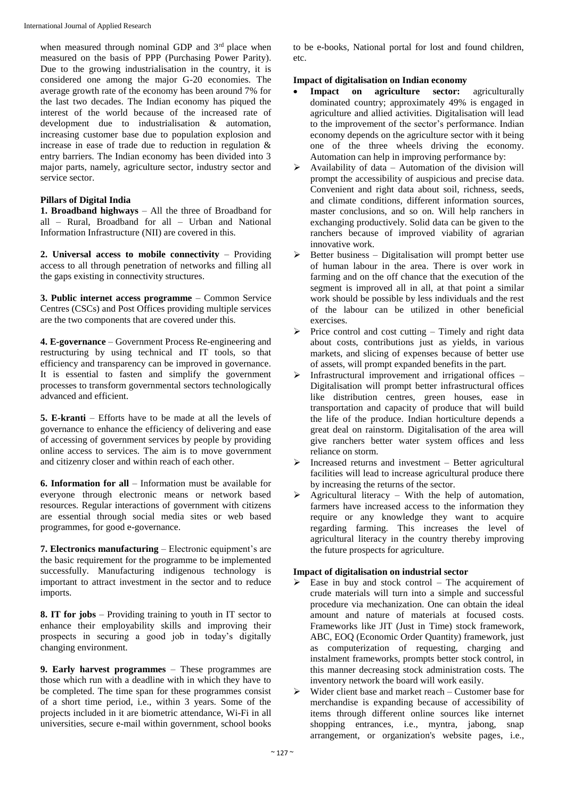when measured through nominal GDP and 3<sup>rd</sup> place when measured on the basis of PPP (Purchasing Power Parity). Due to the growing industrialisation in the country, it is considered one among the major G-20 economies. The average growth rate of the economy has been around 7% for the last two decades. The Indian economy has piqued the interest of the world because of the increased rate of development due to industrialisation & automation, increasing customer base due to population explosion and increase in ease of trade due to reduction in regulation & entry barriers. The Indian economy has been divided into 3 major parts, namely, agriculture sector, industry sector and service sector.

#### **Pillars of Digital India**

**1. Broadband highways** – All the three of Broadband for all – Rural, Broadband for all – Urban and National Information Infrastructure (NII) are covered in this.

**2. Universal access to mobile connectivity** – Providing access to all through penetration of networks and filling all the gaps existing in connectivity structures.

**3. Public internet access programme** – Common Service Centres (CSCs) and Post Offices providing multiple services are the two components that are covered under this.

**4. E-governance** – Government Process Re-engineering and restructuring by using technical and IT tools, so that efficiency and transparency can be improved in governance. It is essential to fasten and simplify the government processes to transform governmental sectors technologically advanced and efficient.

**5. E-kranti** – Efforts have to be made at all the levels of governance to enhance the efficiency of delivering and ease of accessing of government services by people by providing online access to services. The aim is to move government and citizenry closer and within reach of each other.

**6. Information for all** – Information must be available for everyone through electronic means or network based resources. Regular interactions of government with citizens are essential through social media sites or web based programmes, for good e-governance.

**7. Electronics manufacturing** – Electronic equipment's are the basic requirement for the programme to be implemented successfully. Manufacturing indigenous technology is important to attract investment in the sector and to reduce imports.

**8. IT for jobs** – Providing training to youth in IT sector to enhance their employability skills and improving their prospects in securing a good job in today's digitally changing environment.

**9. Early harvest programmes** – These programmes are those which run with a deadline with in which they have to be completed. The time span for these programmes consist of a short time period, i.e., within 3 years. Some of the projects included in it are biometric attendance, Wi-Fi in all universities, secure e-mail within government, school books to be e-books, National portal for lost and found children, etc.

#### **Impact of digitalisation on Indian economy**

- **Impact on agriculture sector:** agriculturally dominated country; approximately 49% is engaged in agriculture and allied activities. Digitalisation will lead to the improvement of the sector's performance. Indian economy depends on the agriculture sector with it being one of the three wheels driving the economy. Automation can help in improving performance by:
- Availability of data Automation of the division will prompt the accessibility of auspicious and precise data. Convenient and right data about soil, richness, seeds, and climate conditions, different information sources, master conclusions, and so on. Will help ranchers in exchanging productively. Solid data can be given to the ranchers because of improved viability of agrarian innovative work.
- $\triangleright$  Better business Digitalisation will prompt better use of human labour in the area. There is over work in farming and on the off chance that the execution of the segment is improved all in all, at that point a similar work should be possible by less individuals and the rest of the labour can be utilized in other beneficial exercises.
- $\triangleright$  Price control and cost cutting Timely and right data about costs, contributions just as yields, in various markets, and slicing of expenses because of better use of assets, will prompt expanded benefits in the part.
- $\triangleright$  Infrastructural improvement and irrigational offices Digitalisation will prompt better infrastructural offices like distribution centres, green houses, ease in transportation and capacity of produce that will build the life of the produce. Indian horticulture depends a great deal on rainstorm. Digitalisation of the area will give ranchers better water system offices and less reliance on storm.
- $\triangleright$  Increased returns and investment Better agricultural facilities will lead to increase agricultural produce there by increasing the returns of the sector.
- $\triangleright$  Agricultural literacy With the help of automation, farmers have increased access to the information they require or any knowledge they want to acquire regarding farming. This increases the level of agricultural literacy in the country thereby improving the future prospects for agriculture.

### **Impact of digitalisation on industrial sector**

- $\triangleright$  Ease in buy and stock control The acquirement of crude materials will turn into a simple and successful procedure via mechanization. One can obtain the ideal amount and nature of materials at focused costs. Frameworks like JIT (Just in Time) stock framework, ABC, EOQ (Economic Order Quantity) framework, just as computerization of requesting, charging and instalment frameworks, prompts better stock control, in this manner decreasing stock administration costs. The inventory network the board will work easily.
- $\triangleright$  Wider client base and market reach Customer base for merchandise is expanding because of accessibility of items through different online sources like internet shopping entrances, i.e., myntra, jabong, snap arrangement, or organization's website pages, i.e.,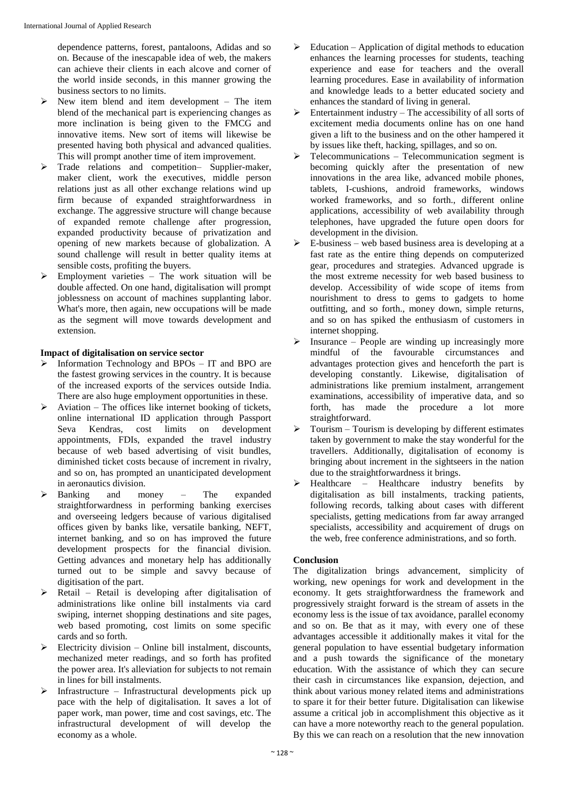dependence patterns, forest, pantaloons, Adidas and so on. Because of the inescapable idea of web, the makers can achieve their clients in each alcove and corner of the world inside seconds, in this manner growing the business sectors to no limits.

- $\triangleright$  New item blend and item development The item blend of the mechanical part is experiencing changes as more inclination is being given to the FMCG and innovative items. New sort of items will likewise be presented having both physical and advanced qualities. This will prompt another time of item improvement.
- > Trade relations and competition- Supplier-maker, maker client, work the executives, middle person relations just as all other exchange relations wind up firm because of expanded straightforwardness in exchange. The aggressive structure will change because of expanded remote challenge after progression, expanded productivity because of privatization and opening of new markets because of globalization. A sound challenge will result in better quality items at sensible costs, profiting the buyers.
- $\triangleright$  Employment varieties The work situation will be double affected. On one hand, digitalisation will prompt joblessness on account of machines supplanting labor. What's more, then again, new occupations will be made as the segment will move towards development and extension.

#### **Impact of digitalisation on service sector**

- $\triangleright$  Information Technology and BPOs IT and BPO are the fastest growing services in the country. It is because of the increased exports of the services outside India. There are also huge employment opportunities in these.
- $\triangleright$  Aviation The offices like internet booking of tickets, online international ID application through Passport Seva Kendras, cost limits on development appointments, FDIs, expanded the travel industry because of web based advertising of visit bundles, diminished ticket costs because of increment in rivalry, and so on, has prompted an unanticipated development in aeronautics division.
- $\triangleright$  Banking and money The expanded straightforwardness in performing banking exercises and overseeing ledgers because of various digitalised offices given by banks like, versatile banking, NEFT, internet banking, and so on has improved the future development prospects for the financial division. Getting advances and monetary help has additionally turned out to be simple and savvy because of digitisation of the part.
- $\triangleright$  Retail Retail is developing after digitalisation of administrations like online bill instalments via card swiping, internet shopping destinations and site pages, web based promoting, cost limits on some specific cards and so forth.
- $\triangleright$  Electricity division Online bill instalment, discounts, mechanized meter readings, and so forth has profited the power area. It's alleviation for subjects to not remain in lines for bill instalments.
- Infrastructure Infrastructural developments pick up pace with the help of digitalisation. It saves a lot of paper work, man power, time and cost savings, etc. The infrastructural development of will develop the economy as a whole.
- $\triangleright$  Education Application of digital methods to education enhances the learning processes for students, teaching experience and ease for teachers and the overall learning procedures. Ease in availability of information and knowledge leads to a better educated society and enhances the standard of living in general.
- $\triangleright$  Entertainment industry The accessibility of all sorts of excitement media documents online has on one hand given a lift to the business and on the other hampered it by issues like theft, hacking, spillages, and so on.
- Telecommunications Telecommunication segment is becoming quickly after the presentation of new innovations in the area like, advanced mobile phones, tablets, I-cushions, android frameworks, windows worked frameworks, and so forth., different online applications, accessibility of web availability through telephones, have upgraded the future open doors for development in the division.
- E-business web based business area is developing at a fast rate as the entire thing depends on computerized gear, procedures and strategies. Advanced upgrade is the most extreme necessity for web based business to develop. Accessibility of wide scope of items from nourishment to dress to gems to gadgets to home outfitting, and so forth., money down, simple returns, and so on has spiked the enthusiasm of customers in internet shopping.
- $\triangleright$  Insurance People are winding up increasingly more mindful of the favourable circumstances and advantages protection gives and henceforth the part is developing constantly. Likewise, digitalisation of administrations like premium instalment, arrangement examinations, accessibility of imperative data, and so forth, has made the procedure a lot more straightforward.
- Tourism Tourism is developing by different estimates taken by government to make the stay wonderful for the travellers. Additionally, digitalisation of economy is bringing about increment in the sightseers in the nation due to the straightforwardness it brings.
- $\triangleright$  Healthcare Healthcare industry benefits by digitalisation as bill instalments, tracking patients, following records, talking about cases with different specialists, getting medications from far away arranged specialists, accessibility and acquirement of drugs on the web, free conference administrations, and so forth.

#### **Conclusion**

The digitalization brings advancement, simplicity of working, new openings for work and development in the economy. It gets straightforwardness the framework and progressively straight forward is the stream of assets in the economy less is the issue of tax avoidance, parallel economy and so on. Be that as it may, with every one of these advantages accessible it additionally makes it vital for the general population to have essential budgetary information and a push towards the significance of the monetary education. With the assistance of which they can secure their cash in circumstances like expansion, dejection, and think about various money related items and administrations to spare it for their better future. Digitalisation can likewise assume a critical job in accomplishment this objective as it can have a more noteworthy reach to the general population. By this we can reach on a resolution that the new innovation